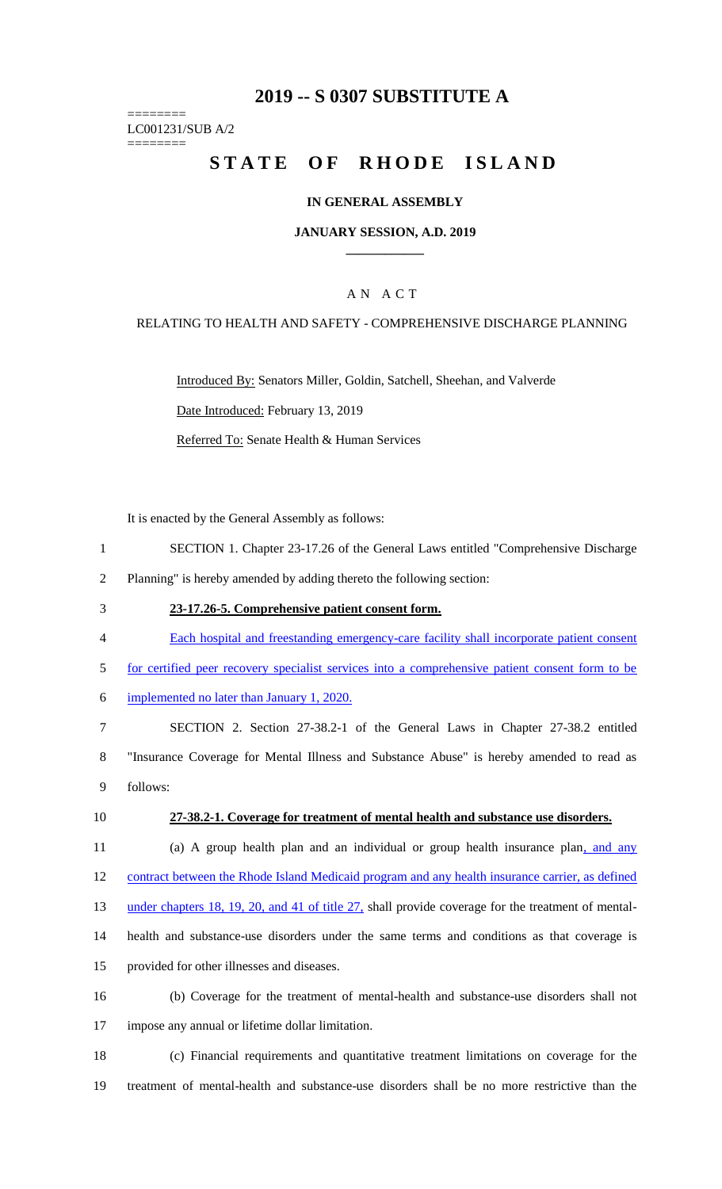# **2019 -- S 0307 SUBSTITUTE A**

======== LC001231/SUB A/2

========

# STATE OF RHODE ISLAND

### **IN GENERAL ASSEMBLY**

### **JANUARY SESSION, A.D. 2019 \_\_\_\_\_\_\_\_\_\_\_\_**

## A N A C T

### RELATING TO HEALTH AND SAFETY - COMPREHENSIVE DISCHARGE PLANNING

Introduced By: Senators Miller, Goldin, Satchell, Sheehan, and Valverde Date Introduced: February 13, 2019

Referred To: Senate Health & Human Services

It is enacted by the General Assembly as follows:

- 1 SECTION 1. Chapter 23-17.26 of the General Laws entitled "Comprehensive Discharge
- 2 Planning" is hereby amended by adding thereto the following section:
- 3 **23-17.26-5. Comprehensive patient consent form.**
- 4 Each hospital and freestanding emergency-care facility shall incorporate patient consent
- 5 for certified peer recovery specialist services into a comprehensive patient consent form to be
- 6 implemented no later than January 1, 2020.

7 SECTION 2. Section 27-38.2-1 of the General Laws in Chapter 27-38.2 entitled 8 "Insurance Coverage for Mental Illness and Substance Abuse" is hereby amended to read as 9 follows:

#### 10 **27-38.2-1. Coverage for treatment of mental health and substance use disorders.**

11 (a) A group health plan and an individual or group health insurance plan, and any 12 contract between the Rhode Island Medicaid program and any health insurance carrier, as defined

13 under chapters 18, 19, 20, and 41 of title 27, shall provide coverage for the treatment of mental-

- 14 health and substance-use disorders under the same terms and conditions as that coverage is
- 15 provided for other illnesses and diseases.
- 16 (b) Coverage for the treatment of mental-health and substance-use disorders shall not 17 impose any annual or lifetime dollar limitation.
- 18 (c) Financial requirements and quantitative treatment limitations on coverage for the 19 treatment of mental-health and substance-use disorders shall be no more restrictive than the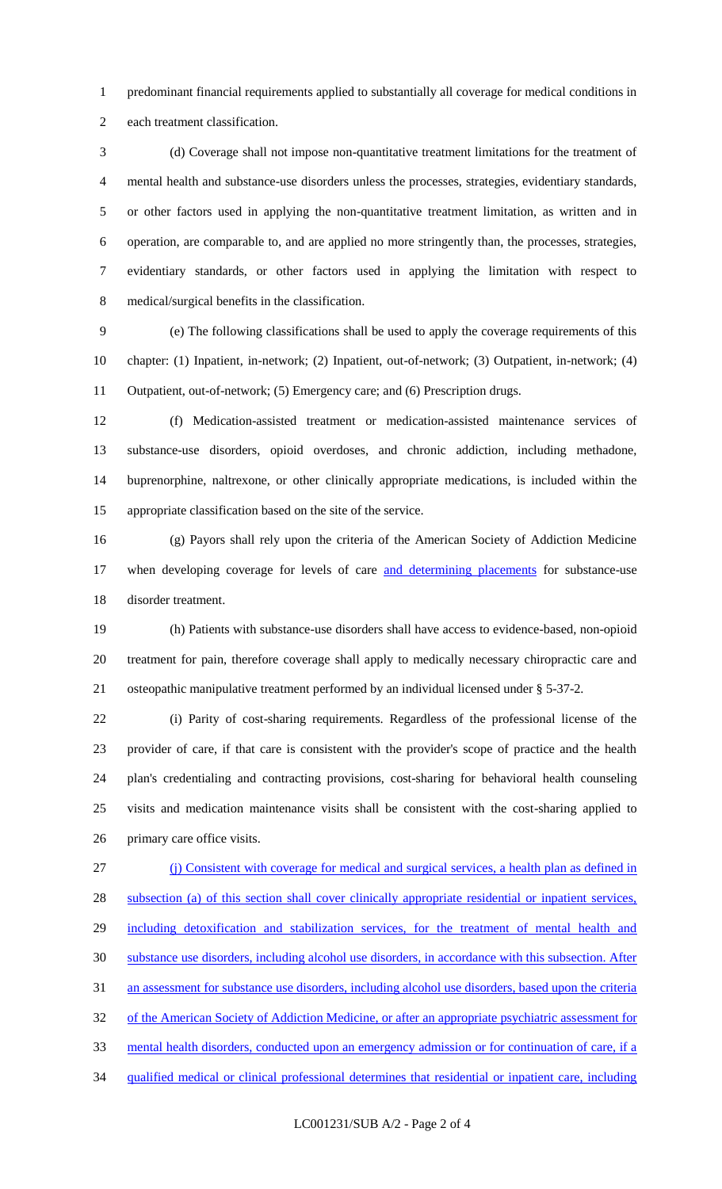predominant financial requirements applied to substantially all coverage for medical conditions in each treatment classification.

 (d) Coverage shall not impose non-quantitative treatment limitations for the treatment of mental health and substance-use disorders unless the processes, strategies, evidentiary standards, or other factors used in applying the non-quantitative treatment limitation, as written and in operation, are comparable to, and are applied no more stringently than, the processes, strategies, evidentiary standards, or other factors used in applying the limitation with respect to medical/surgical benefits in the classification.

 (e) The following classifications shall be used to apply the coverage requirements of this chapter: (1) Inpatient, in-network; (2) Inpatient, out-of-network; (3) Outpatient, in-network; (4) Outpatient, out-of-network; (5) Emergency care; and (6) Prescription drugs.

 (f) Medication-assisted treatment or medication-assisted maintenance services of substance-use disorders, opioid overdoses, and chronic addiction, including methadone, buprenorphine, naltrexone, or other clinically appropriate medications, is included within the appropriate classification based on the site of the service.

 (g) Payors shall rely upon the criteria of the American Society of Addiction Medicine 17 when developing coverage for levels of care and determining placements for substance-use disorder treatment.

 (h) Patients with substance-use disorders shall have access to evidence-based, non-opioid treatment for pain, therefore coverage shall apply to medically necessary chiropractic care and osteopathic manipulative treatment performed by an individual licensed under § 5-37-2.

 (i) Parity of cost-sharing requirements. Regardless of the professional license of the provider of care, if that care is consistent with the provider's scope of practice and the health plan's credentialing and contracting provisions, cost-sharing for behavioral health counseling visits and medication maintenance visits shall be consistent with the cost-sharing applied to primary care office visits.

 (j) Consistent with coverage for medical and surgical services, a health plan as defined in subsection (a) of this section shall cover clinically appropriate residential or inpatient services, 29 including detoxification and stabilization services, for the treatment of mental health and substance use disorders, including alcohol use disorders, in accordance with this subsection. After an assessment for substance use disorders, including alcohol use disorders, based upon the criteria 32 of the American Society of Addiction Medicine, or after an appropriate psychiatric assessment for mental health disorders, conducted upon an emergency admission or for continuation of care, if a qualified medical or clinical professional determines that residential or inpatient care, including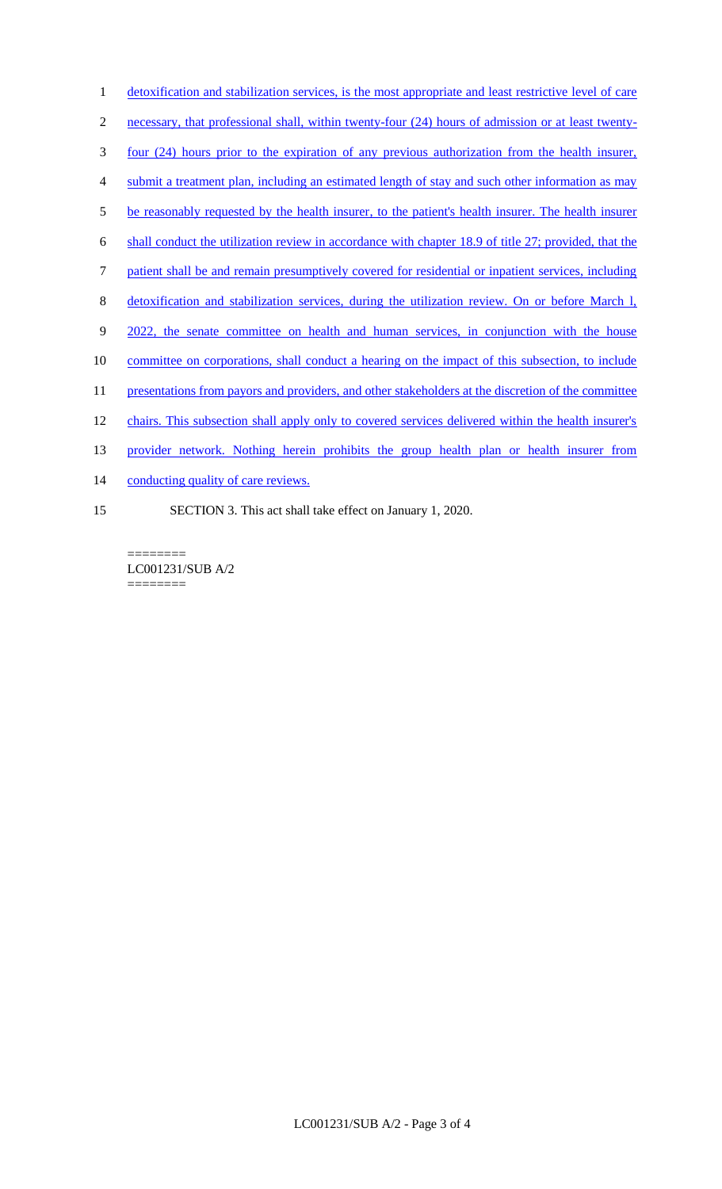detoxification and stabilization services, is the most appropriate and least restrictive level of care necessary, that professional shall, within twenty-four (24) hours of admission or at least twenty- four (24) hours prior to the expiration of any previous authorization from the health insurer, submit a treatment plan, including an estimated length of stay and such other information as may 5 be reasonably requested by the health insurer, to the patient's health insurer. The health insurer shall conduct the utilization review in accordance with chapter 18.9 of title 27; provided, that the patient shall be and remain presumptively covered for residential or inpatient services, including detoxification and stabilization services, during the utilization review. On or before March l, 9 2022, the senate committee on health and human services, in conjunction with the house 10 committee on corporations, shall conduct a hearing on the impact of this subsection, to include 11 presentations from payors and providers, and other stakeholders at the discretion of the committee chairs. This subsection shall apply only to covered services delivered within the health insurer's provider network. Nothing herein prohibits the group health plan or health insurer from 14 conducting quality of care reviews. SECTION 3. This act shall take effect on January 1, 2020.

======== LC001231/SUB A/2 ========